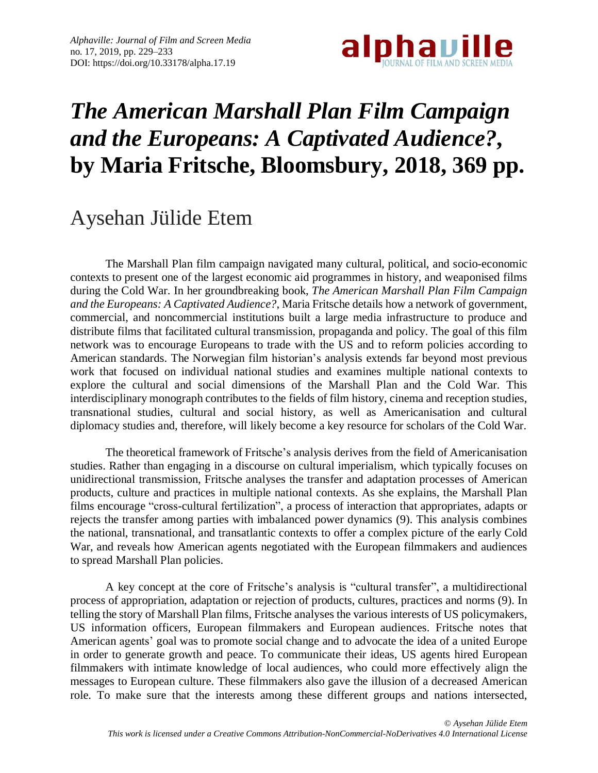

## *The American Marshall Plan Film Campaign and the Europeans: A Captivated Audience?***, by Maria Fritsche, Bloomsbury, 2018, 369 pp.**

## Aysehan Jülide Etem

The Marshall Plan film campaign navigated many cultural, political, and socio-economic contexts to present one of the largest economic aid programmes in history, and weaponised films during the Cold War. In her groundbreaking book, *The American Marshall Plan Film Campaign and the Europeans: A Captivated Audience?*, Maria Fritsche details how a network of government, commercial, and noncommercial institutions built a large media infrastructure to produce and distribute films that facilitated cultural transmission, propaganda and policy. The goal of this film network was to encourage Europeans to trade with the US and to reform policies according to American standards. The Norwegian film historian's analysis extends far beyond most previous work that focused on individual national studies and examines multiple national contexts to explore the cultural and social dimensions of the Marshall Plan and the Cold War. This interdisciplinary monograph contributes to the fields of film history, cinema and reception studies, transnational studies, cultural and social history, as well as Americanisation and cultural diplomacy studies and, therefore, will likely become a key resource for scholars of the Cold War.

The theoretical framework of Fritsche's analysis derives from the field of Americanisation studies. Rather than engaging in a discourse on cultural imperialism, which typically focuses on unidirectional transmission, Fritsche analyses the transfer and adaptation processes of American products, culture and practices in multiple national contexts. As she explains, the Marshall Plan films encourage "cross-cultural fertilization", a process of interaction that appropriates, adapts or rejects the transfer among parties with imbalanced power dynamics (9). This analysis combines the national, transnational, and transatlantic contexts to offer a complex picture of the early Cold War, and reveals how American agents negotiated with the European filmmakers and audiences to spread Marshall Plan policies.

A key concept at the core of Fritsche's analysis is "cultural transfer", a multidirectional process of appropriation, adaptation or rejection of products, cultures, practices and norms (9). In telling the story of Marshall Plan films, Fritsche analyses the various interests of US policymakers, US information officers, European filmmakers and European audiences. Fritsche notes that American agents' goal was to promote social change and to advocate the idea of a united Europe in order to generate growth and peace. To communicate their ideas, US agents hired European filmmakers with intimate knowledge of local audiences, who could more effectively align the messages to European culture. These filmmakers also gave the illusion of a decreased American role. To make sure that the interests among these different groups and nations intersected,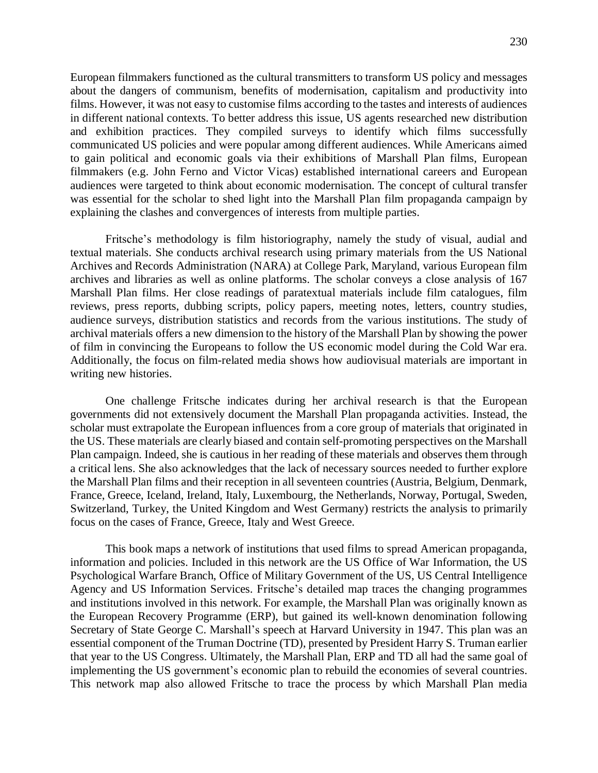European filmmakers functioned as the cultural transmitters to transform US policy and messages about the dangers of communism, benefits of modernisation, capitalism and productivity into films. However, it was not easy to customise films according to the tastes and interests of audiences in different national contexts. To better address this issue, US agents researched new distribution and exhibition practices. They compiled surveys to identify which films successfully communicated US policies and were popular among different audiences. While Americans aimed to gain political and economic goals via their exhibitions of Marshall Plan films, European filmmakers (e.g. John Ferno and Victor Vicas) established international careers and European audiences were targeted to think about economic modernisation. The concept of cultural transfer was essential for the scholar to shed light into the Marshall Plan film propaganda campaign by explaining the clashes and convergences of interests from multiple parties.

Fritsche's methodology is film historiography, namely the study of visual, audial and textual materials. She conducts archival research using primary materials from the US National Archives and Records Administration (NARA) at College Park, Maryland, various European film archives and libraries as well as online platforms. The scholar conveys a close analysis of 167 Marshall Plan films. Her close readings of paratextual materials include film catalogues, film reviews, press reports, dubbing scripts, policy papers, meeting notes, letters, country studies, audience surveys, distribution statistics and records from the various institutions. The study of archival materials offers a new dimension to the history of the Marshall Plan by showing the power of film in convincing the Europeans to follow the US economic model during the Cold War era. Additionally, the focus on film-related media shows how audiovisual materials are important in writing new histories.

One challenge Fritsche indicates during her archival research is that the European governments did not extensively document the Marshall Plan propaganda activities. Instead, the scholar must extrapolate the European influences from a core group of materials that originated in the US. These materials are clearly biased and contain self-promoting perspectives on the Marshall Plan campaign. Indeed, she is cautious in her reading of these materials and observes them through a critical lens. She also acknowledges that the lack of necessary sources needed to further explore the Marshall Plan films and their reception in all seventeen countries (Austria, Belgium, Denmark, France, Greece, Iceland, Ireland, Italy, Luxembourg, the Netherlands, Norway, Portugal, Sweden, Switzerland, Turkey, the United Kingdom and West Germany) restricts the analysis to primarily focus on the cases of France, Greece, Italy and West Greece.

This book maps a network of institutions that used films to spread American propaganda, information and policies. Included in this network are the US Office of War Information, the US Psychological Warfare Branch, Office of Military Government of the US, US Central Intelligence Agency and US Information Services. Fritsche's detailed map traces the changing programmes and institutions involved in this network. For example, the Marshall Plan was originally known as the European Recovery Programme (ERP), but gained its well-known denomination following Secretary of State George C. Marshall's speech at Harvard University in 1947. This plan was an essential component of the Truman Doctrine (TD), presented by President Harry S. Truman earlier that year to the US Congress. Ultimately, the Marshall Plan, ERP and TD all had the same goal of implementing the US government's economic plan to rebuild the economies of several countries. This network map also allowed Fritsche to trace the process by which Marshall Plan media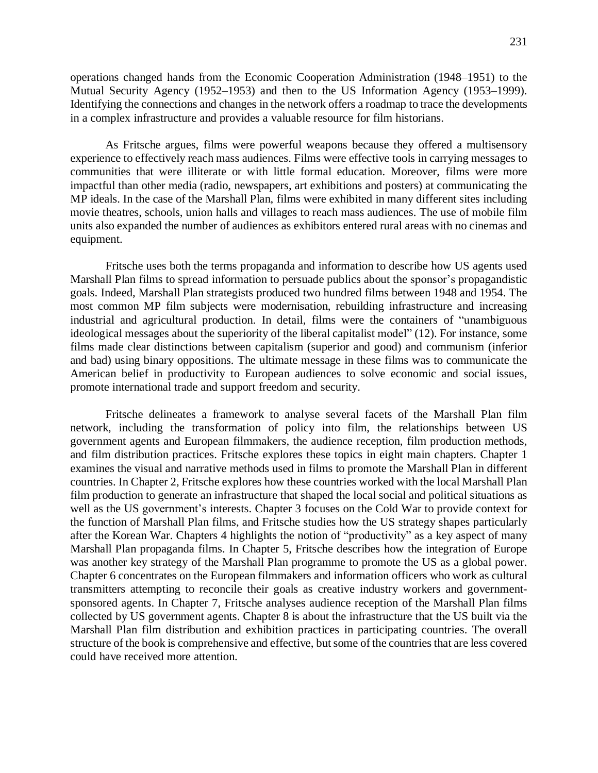operations changed hands from the Economic Cooperation Administration (1948–1951) to the Mutual Security Agency (1952–1953) and then to the US Information Agency (1953–1999). Identifying the connections and changes in the network offers a roadmap to trace the developments in a complex infrastructure and provides a valuable resource for film historians.

As Fritsche argues, films were powerful weapons because they offered a multisensory experience to effectively reach mass audiences. Films were effective tools in carrying messages to communities that were illiterate or with little formal education. Moreover, films were more impactful than other media (radio, newspapers, art exhibitions and posters) at communicating the MP ideals. In the case of the Marshall Plan, films were exhibited in many different sites including movie theatres, schools, union halls and villages to reach mass audiences. The use of mobile film units also expanded the number of audiences as exhibitors entered rural areas with no cinemas and equipment.

Fritsche uses both the terms propaganda and information to describe how US agents used Marshall Plan films to spread information to persuade publics about the sponsor's propagandistic goals. Indeed, Marshall Plan strategists produced two hundred films between 1948 and 1954. The most common MP film subjects were modernisation, rebuilding infrastructure and increasing industrial and agricultural production. In detail, films were the containers of "unambiguous ideological messages about the superiority of the liberal capitalist model" (12). For instance, some films made clear distinctions between capitalism (superior and good) and communism (inferior and bad) using binary oppositions. The ultimate message in these films was to communicate the American belief in productivity to European audiences to solve economic and social issues, promote international trade and support freedom and security.

Fritsche delineates a framework to analyse several facets of the Marshall Plan film network, including the transformation of policy into film, the relationships between US government agents and European filmmakers, the audience reception, film production methods, and film distribution practices. Fritsche explores these topics in eight main chapters. Chapter 1 examines the visual and narrative methods used in films to promote the Marshall Plan in different countries. In Chapter 2, Fritsche explores how these countries worked with the local Marshall Plan film production to generate an infrastructure that shaped the local social and political situations as well as the US government's interests. Chapter 3 focuses on the Cold War to provide context for the function of Marshall Plan films, and Fritsche studies how the US strategy shapes particularly after the Korean War. Chapters 4 highlights the notion of "productivity" as a key aspect of many Marshall Plan propaganda films. In Chapter 5, Fritsche describes how the integration of Europe was another key strategy of the Marshall Plan programme to promote the US as a global power. Chapter 6 concentrates on the European filmmakers and information officers who work as cultural transmitters attempting to reconcile their goals as creative industry workers and governmentsponsored agents. In Chapter 7, Fritsche analyses audience reception of the Marshall Plan films collected by US government agents. Chapter 8 is about the infrastructure that the US built via the Marshall Plan film distribution and exhibition practices in participating countries. The overall structure of the book is comprehensive and effective, butsome of the countries that are less covered could have received more attention.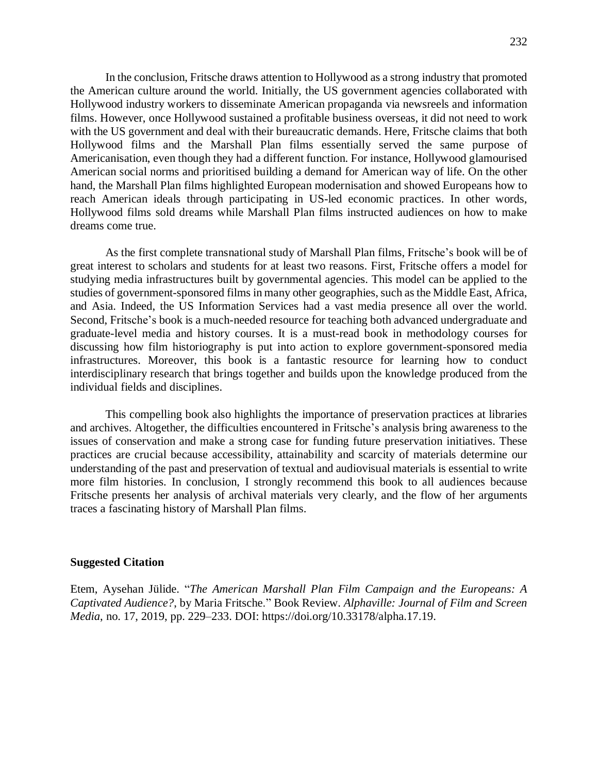In the conclusion, Fritsche draws attention to Hollywood as a strong industry that promoted the American culture around the world. Initially, the US government agencies collaborated with Hollywood industry workers to disseminate American propaganda via newsreels and information films. However, once Hollywood sustained a profitable business overseas, it did not need to work with the US government and deal with their bureaucratic demands. Here, Fritsche claims that both Hollywood films and the Marshall Plan films essentially served the same purpose of Americanisation, even though they had a different function. For instance, Hollywood glamourised American social norms and prioritised building a demand for American way of life. On the other hand, the Marshall Plan films highlighted European modernisation and showed Europeans how to reach American ideals through participating in US-led economic practices. In other words, Hollywood films sold dreams while Marshall Plan films instructed audiences on how to make dreams come true.

As the first complete transnational study of Marshall Plan films, Fritsche's book will be of great interest to scholars and students for at least two reasons. First, Fritsche offers a model for studying media infrastructures built by governmental agencies. This model can be applied to the studies of government-sponsored films in many other geographies, such as the Middle East, Africa, and Asia. Indeed, the US Information Services had a vast media presence all over the world. Second, Fritsche's book is a much-needed resource for teaching both advanced undergraduate and graduate-level media and history courses. It is a must-read book in methodology courses for discussing how film historiography is put into action to explore government-sponsored media infrastructures. Moreover, this book is a fantastic resource for learning how to conduct interdisciplinary research that brings together and builds upon the knowledge produced from the individual fields and disciplines.

This compelling book also highlights the importance of preservation practices at libraries and archives. Altogether, the difficulties encountered in Fritsche's analysis bring awareness to the issues of conservation and make a strong case for funding future preservation initiatives. These practices are crucial because accessibility, attainability and scarcity of materials determine our understanding of the past and preservation of textual and audiovisual materials is essential to write more film histories. In conclusion, I strongly recommend this book to all audiences because Fritsche presents her analysis of archival materials very clearly, and the flow of her arguments traces a fascinating history of Marshall Plan films.

## **Suggested Citation**

Etem, Aysehan Jülide. "*The American Marshall Plan Film Campaign and the Europeans: A Captivated Audience?*, by Maria Fritsche." Book Review. *Alphaville: Journal of Film and Screen Media*, no. 17, 2019, pp. 229–233. DOI: https://doi.org/10.33178/alpha.17.19.